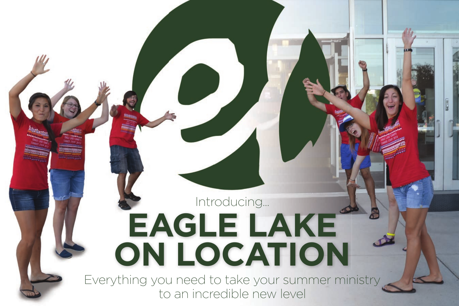# **EAGLE LAKE ON LOCATION** Introducing...

Everything you need to take your summer ministry to an incredible new level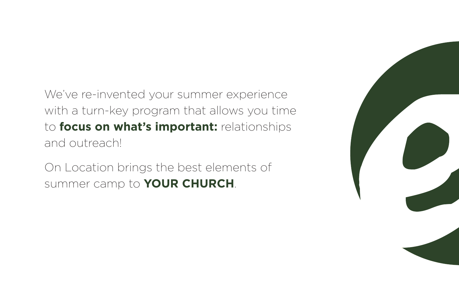We've re-invented your summer experience with a turn-key program that allows you time to **focus on what's important:** relationships and outreach!

On Location brings the best elements of summer camp to **YOUR CHURCH**.

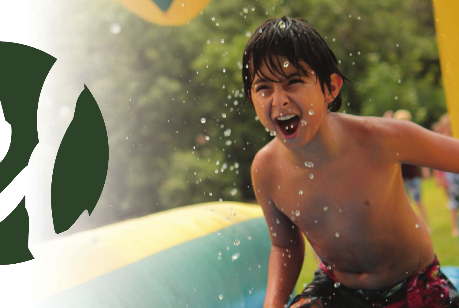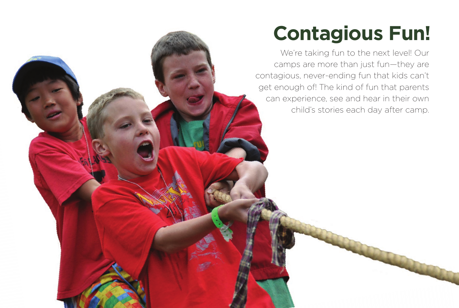### **Contagious Fun!**

We're taking fun to the next level! Our camps are more than just fun-they are contagious, never-ending fun that kids can't get enough of! The kind of fun that parents can experience, see and hear in their own child's stories each day after camp.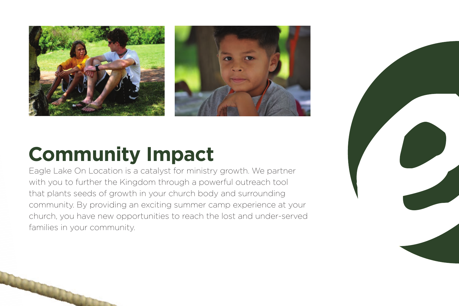



### **Community Impact**

Eagle Lake On Location is a catalyst for ministry growth. We partner with you to further the Kingdom through a powerful outreach tool that plants seeds of growth in your church body and surrounding community. By providing an exciting summer camp experience at your church, you have new opportunities to reach the lost and under-served families in your community.

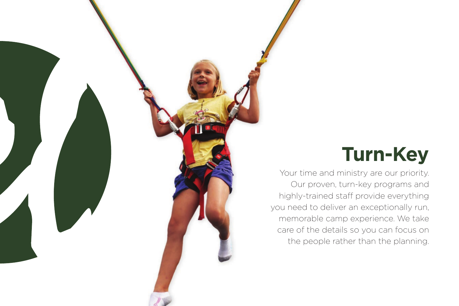### **Turn-Key**

Your time and ministry are our priority. Our proven, turn-key programs and highly-trained staff provide everything you need to deliver an exceptionally run, memorable camp experience. We take care of the details so you can focus on the people rather than the planning.